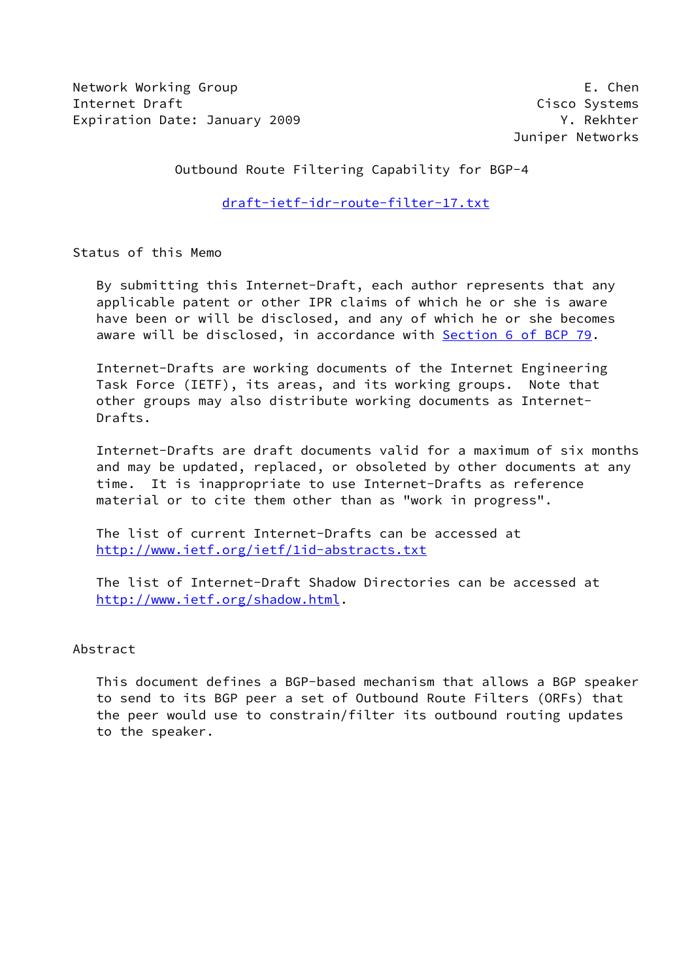Network Working Group **E. Chen** Internet Draft Cisco Systems Expiration Date: January 2009 Y. Rekhter

Juniper Networks

Outbound Route Filtering Capability for BGP-4

[draft-ietf-idr-route-filter-17.txt](https://datatracker.ietf.org/doc/pdf/draft-ietf-idr-route-filter-17.txt)

Status of this Memo

 By submitting this Internet-Draft, each author represents that any applicable patent or other IPR claims of which he or she is aware have been or will be disclosed, and any of which he or she becomes aware will be disclosed, in accordance with Section [6 of BCP 79.](https://datatracker.ietf.org/doc/pdf/bcp79#section-6)

 Internet-Drafts are working documents of the Internet Engineering Task Force (IETF), its areas, and its working groups. Note that other groups may also distribute working documents as Internet- Drafts.

 Internet-Drafts are draft documents valid for a maximum of six months and may be updated, replaced, or obsoleted by other documents at any time. It is inappropriate to use Internet-Drafts as reference material or to cite them other than as "work in progress".

 The list of current Internet-Drafts can be accessed at <http://www.ietf.org/ietf/1id-abstracts.txt>

 The list of Internet-Draft Shadow Directories can be accessed at <http://www.ietf.org/shadow.html>.

# Abstract

 This document defines a BGP-based mechanism that allows a BGP speaker to send to its BGP peer a set of Outbound Route Filters (ORFs) that the peer would use to constrain/filter its outbound routing updates to the speaker.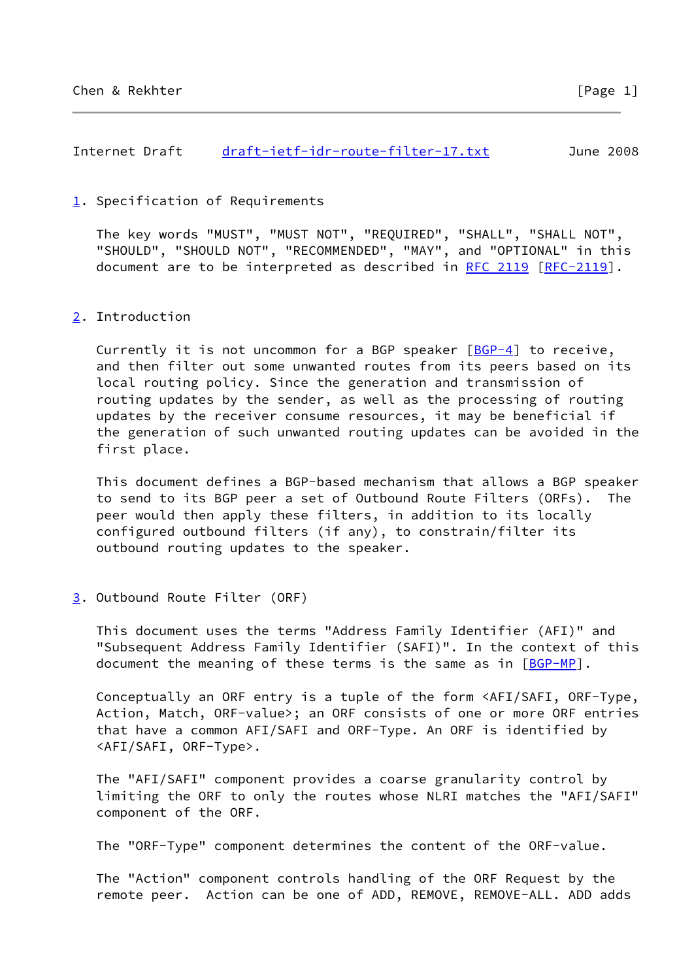Internet Draft [draft-ietf-idr-route-filter-17.txt](https://datatracker.ietf.org/doc/pdf/draft-ietf-idr-route-filter-17.txt) June 2008

# <span id="page-1-0"></span>[1](#page-1-0). Specification of Requirements

 The key words "MUST", "MUST NOT", "REQUIRED", "SHALL", "SHALL NOT", "SHOULD", "SHOULD NOT", "RECOMMENDED", "MAY", and "OPTIONAL" in this document are to be interpreted as described in [RFC 2119 \[RFC-2119](https://datatracker.ietf.org/doc/pdf/rfc2119)].

## <span id="page-1-1"></span>[2](#page-1-1). Introduction

Currently it is not uncommon for a BGP speaker  $[BGP-4]$  $[BGP-4]$  to receive, and then filter out some unwanted routes from its peers based on its local routing policy. Since the generation and transmission of routing updates by the sender, as well as the processing of routing updates by the receiver consume resources, it may be beneficial if the generation of such unwanted routing updates can be avoided in the first place.

 This document defines a BGP-based mechanism that allows a BGP speaker to send to its BGP peer a set of Outbound Route Filters (ORFs). The peer would then apply these filters, in addition to its locally configured outbound filters (if any), to constrain/filter its outbound routing updates to the speaker.

## <span id="page-1-2"></span>[3](#page-1-2). Outbound Route Filter (ORF)

 This document uses the terms "Address Family Identifier (AFI)" and "Subsequent Address Family Identifier (SAFI)". In the context of this document the meaning of these terms is the same as in  $[BGP-MP]$  $[BGP-MP]$  $[BGP-MP]$ .

 Conceptually an ORF entry is a tuple of the form <AFI/SAFI, ORF-Type, Action, Match, ORF-value>; an ORF consists of one or more ORF entries that have a common AFI/SAFI and ORF-Type. An ORF is identified by <AFI/SAFI, ORF-Type>.

 The "AFI/SAFI" component provides a coarse granularity control by limiting the ORF to only the routes whose NLRI matches the "AFI/SAFI" component of the ORF.

The "ORF-Type" component determines the content of the ORF-value.

 The "Action" component controls handling of the ORF Request by the remote peer. Action can be one of ADD, REMOVE, REMOVE-ALL. ADD adds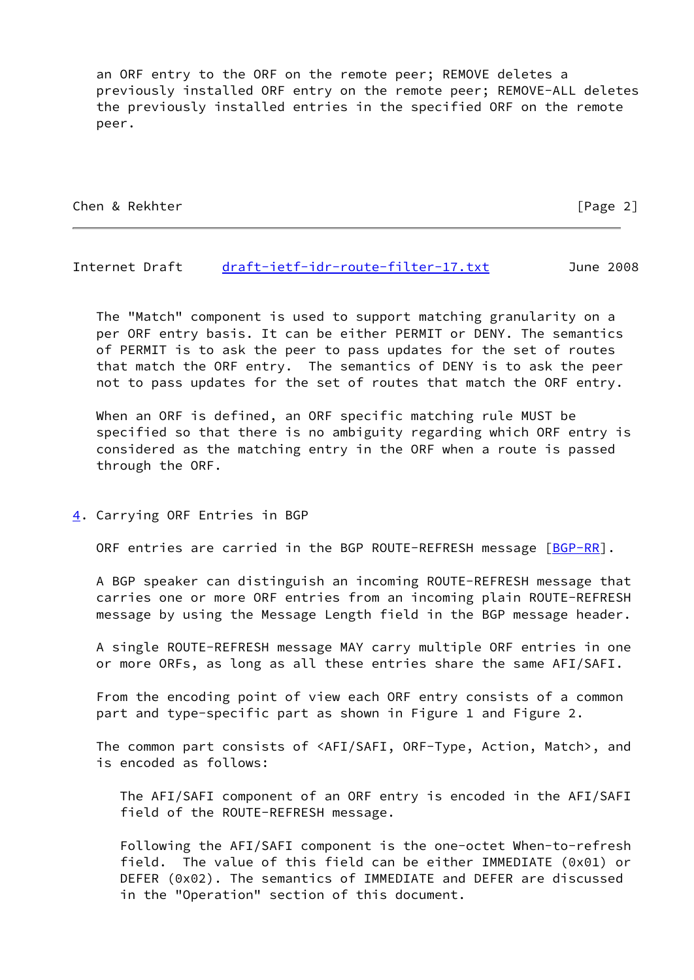an ORF entry to the ORF on the remote peer; REMOVE deletes a previously installed ORF entry on the remote peer; REMOVE-ALL deletes the previously installed entries in the specified ORF on the remote peer.

Chen & Rekhter [Page 2]

#### Internet Draft [draft-ietf-idr-route-filter-17.txt](https://datatracker.ietf.org/doc/pdf/draft-ietf-idr-route-filter-17.txt) June 2008

 The "Match" component is used to support matching granularity on a per ORF entry basis. It can be either PERMIT or DENY. The semantics of PERMIT is to ask the peer to pass updates for the set of routes that match the ORF entry. The semantics of DENY is to ask the peer not to pass updates for the set of routes that match the ORF entry.

 When an ORF is defined, an ORF specific matching rule MUST be specified so that there is no ambiguity regarding which ORF entry is considered as the matching entry in the ORF when a route is passed through the ORF.

<span id="page-2-0"></span>[4](#page-2-0). Carrying ORF Entries in BGP

ORF entries are carried in the BGP ROUTE-REFRESH message [\[BGP-RR](#page-12-0)].

 A BGP speaker can distinguish an incoming ROUTE-REFRESH message that carries one or more ORF entries from an incoming plain ROUTE-REFRESH message by using the Message Length field in the BGP message header.

 A single ROUTE-REFRESH message MAY carry multiple ORF entries in one or more ORFs, as long as all these entries share the same AFI/SAFI.

 From the encoding point of view each ORF entry consists of a common part and type-specific part as shown in Figure 1 and Figure 2.

 The common part consists of <AFI/SAFI, ORF-Type, Action, Match>, and is encoded as follows:

 The AFI/SAFI component of an ORF entry is encoded in the AFI/SAFI field of the ROUTE-REFRESH message.

 Following the AFI/SAFI component is the one-octet When-to-refresh field. The value of this field can be either IMMEDIATE (0x01) or DEFER (0x02). The semantics of IMMEDIATE and DEFER are discussed in the "Operation" section of this document.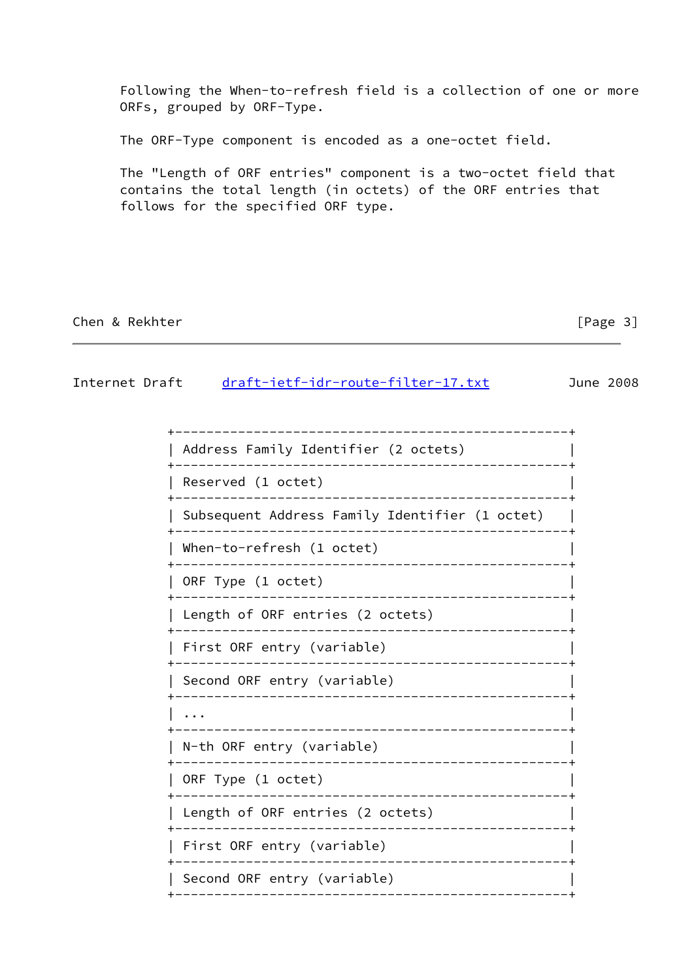Following the When-to-refresh field is a collection of one or more ORFs, grouped by ORF-Type.

The ORF-Type component is encoded as a one-octet field.

 The "Length of ORF entries" component is a two-octet field that contains the total length (in octets) of the ORF entries that follows for the specified ORF type.

# Chen & Rekhter [Page 3]

# Internet Draft [draft-ietf-idr-route-filter-17.txt](https://datatracker.ietf.org/doc/pdf/draft-ietf-idr-route-filter-17.txt) June 2008

| Address Family Identifier (2 octets)                                           |
|--------------------------------------------------------------------------------|
| Reserved (1 octet)                                                             |
| Subsequent Address Family Identifier (1 octet)<br>____________________________ |
| When-to-refresh (1 octet)<br>________________________                          |
| ORF Type (1 octet)<br>_____________________________________                    |
| Length of ORF entries (2 octets)<br>---------------------------                |
| First ORF entry (variable)                                                     |
| Second ORF entry (variable)                                                    |
| ----------------------------------                                             |
| N-th ORF entry (variable)<br>_______________________________                   |
| ORF Type (1 octet)<br>______________________________                           |
| Length of ORF entries (2 octets)                                               |
| First ORF entry (variable)<br>____________________________                     |
| Second ORF entry (variable)<br>------------                                    |
|                                                                                |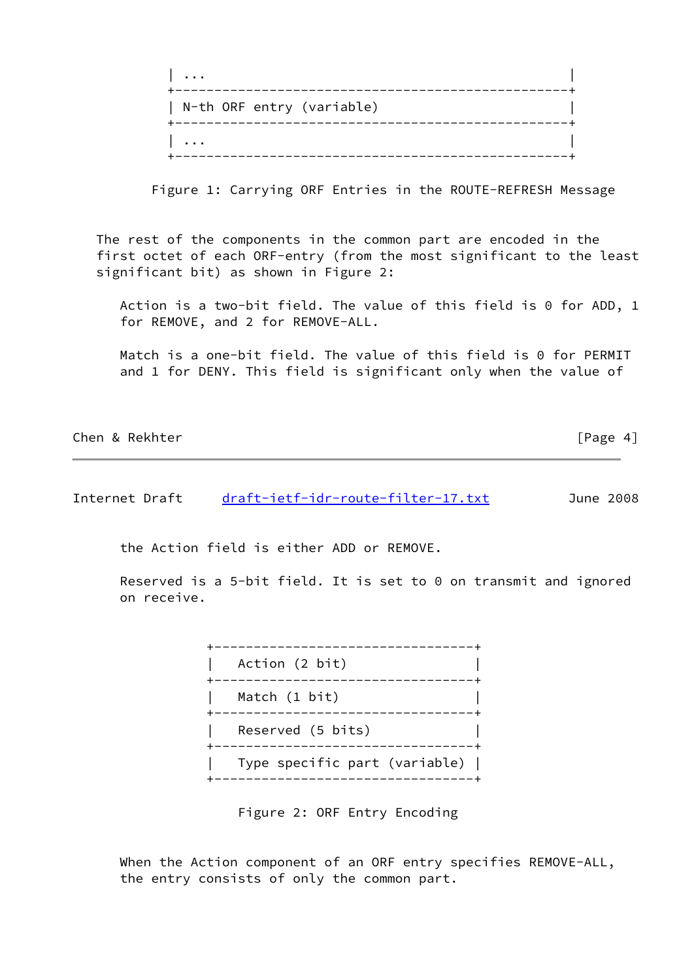| $\ddot{\phantom{0}}$      |  |
|---------------------------|--|
| N-th ORF entry (variable) |  |
| $\ddotsc$                 |  |

Figure 1: Carrying ORF Entries in the ROUTE-REFRESH Message

 The rest of the components in the common part are encoded in the first octet of each ORF-entry (from the most significant to the least significant bit) as shown in Figure 2:

 Action is a two-bit field. The value of this field is 0 for ADD, 1 for REMOVE, and 2 for REMOVE-ALL.

 Match is a one-bit field. The value of this field is 0 for PERMIT and 1 for DENY. This field is significant only when the value of

| Chen & Rekhter | [Page 4] |
|----------------|----------|
|                |          |

Internet Draft [draft-ietf-idr-route-filter-17.txt](https://datatracker.ietf.org/doc/pdf/draft-ietf-idr-route-filter-17.txt) June 2008

the Action field is either ADD or REMOVE.

 Reserved is a 5-bit field. It is set to 0 on transmit and ignored on receive.

> +---------------------------------+ | Action (2 bit) | +---------------------------------+ Match (1 bit) +---------------------------------+ Reserved (5 bits) +---------------------------------+ | Type specific part (variable) | +---------------------------------+

> > Figure 2: ORF Entry Encoding

When the Action component of an ORF entry specifies REMOVE-ALL, the entry consists of only the common part.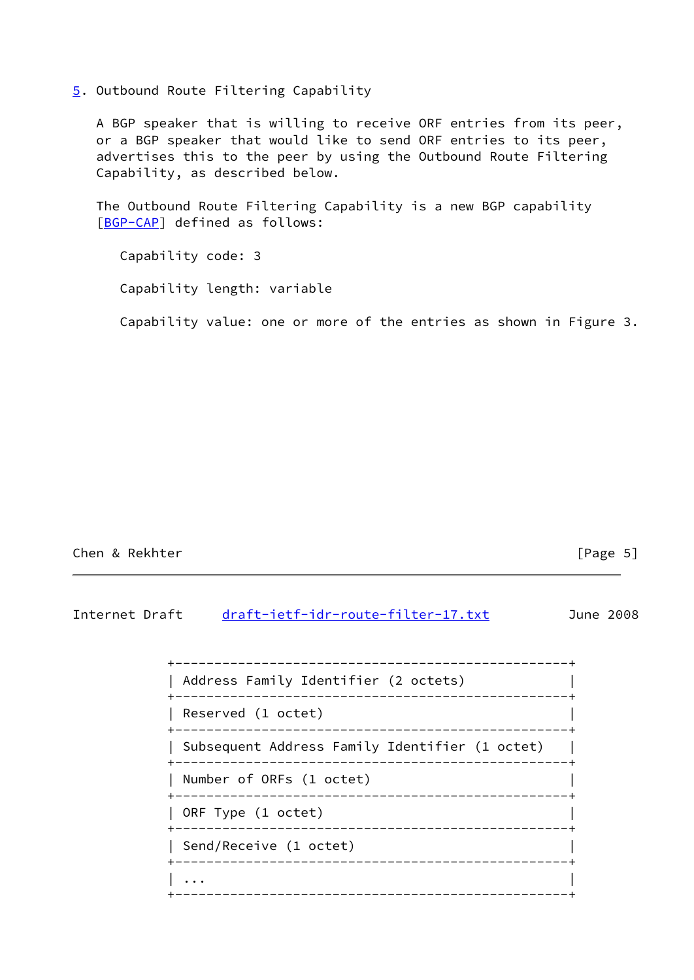<span id="page-5-0"></span>[5](#page-5-0). Outbound Route Filtering Capability

 A BGP speaker that is willing to receive ORF entries from its peer, or a BGP speaker that would like to send ORF entries to its peer, advertises this to the peer by using the Outbound Route Filtering Capability, as described below.

 The Outbound Route Filtering Capability is a new BGP capability [\[BGP-CAP](#page-12-1)] defined as follows:

 Capability code: 3 Capability length: variable Capability value: one or more of the entries as shown in Figure 3.

# Chen & Rekhter [Page 5]

# Internet Draft [draft-ietf-idr-route-filter-17.txt](https://datatracker.ietf.org/doc/pdf/draft-ietf-idr-route-filter-17.txt) June 2008

| Address Family Identifier (2 octets)<br>_____________________________________ |
|-------------------------------------------------------------------------------|
| Reserved (1 octet)<br>______________________________________                  |
| Subsequent Address Family Identifier (1 octet)                                |
| Number of ORFs (1 octet)                                                      |
| ORF Type (1 octet)<br>___________________________________                     |
| Send/Receive (1 octet)                                                        |
|                                                                               |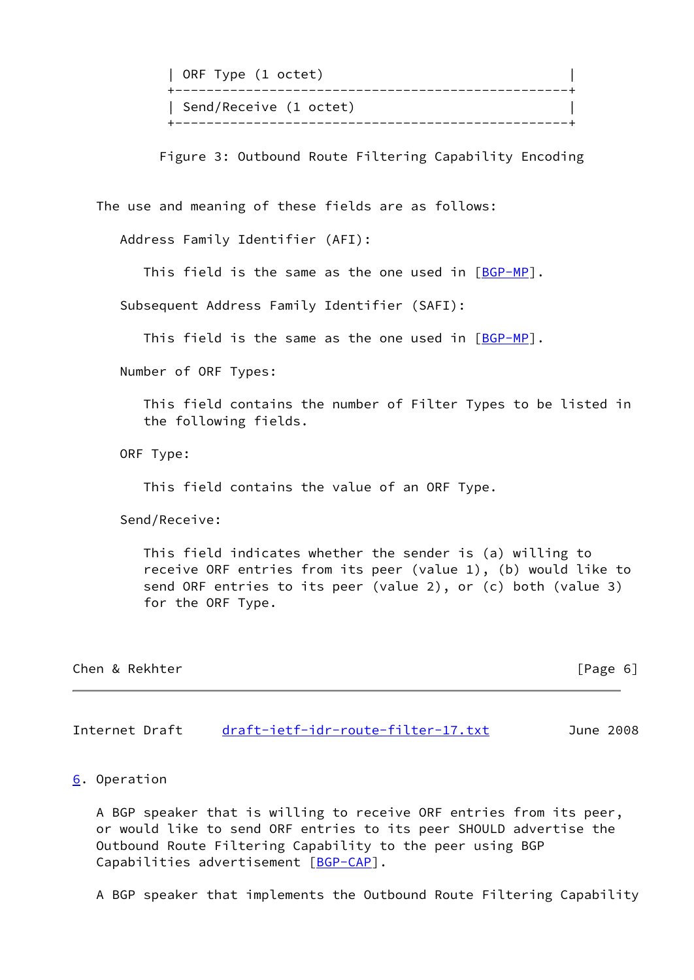| ORF Type (1 octet)     |  |
|------------------------|--|
| Send/Receive (1 octet) |  |

Figure 3: Outbound Route Filtering Capability Encoding

The use and meaning of these fields are as follows:

Address Family Identifier (AFI):

This field is the same as the one used in  $[BGP-MP]$ .

Subsequent Address Family Identifier (SAFI):

This field is the same as the one used in  $[BGP-MP]$  $[BGP-MP]$ .

Number of ORF Types:

 This field contains the number of Filter Types to be listed in the following fields.

ORF Type:

This field contains the value of an ORF Type.

Send/Receive:

 This field indicates whether the sender is (a) willing to receive ORF entries from its peer (value 1), (b) would like to send ORF entries to its peer (value 2), or (c) both (value 3) for the ORF Type.

| Chen & Rekhter |  |  |  |  |  |  |  |
|----------------|--|--|--|--|--|--|--|
|----------------|--|--|--|--|--|--|--|

 $[Page 6]$ 

Internet Draft [draft-ietf-idr-route-filter-17.txt](https://datatracker.ietf.org/doc/pdf/draft-ietf-idr-route-filter-17.txt) June 2008

## <span id="page-6-0"></span>[6](#page-6-0). Operation

 A BGP speaker that is willing to receive ORF entries from its peer, or would like to send ORF entries to its peer SHOULD advertise the Outbound Route Filtering Capability to the peer using BGP Capabilities advertisement [[BGP-CAP\]](#page-12-1).

A BGP speaker that implements the Outbound Route Filtering Capability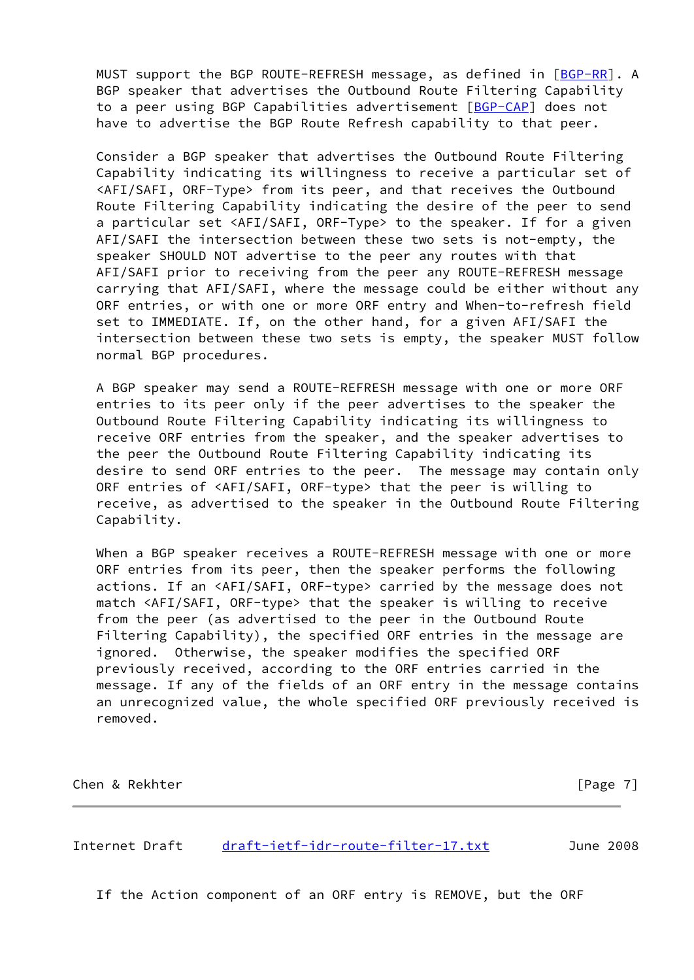MUST support the BGP ROUTE-REFRESH message, as defined in [[BGP-RR](#page-12-0)]. A BGP speaker that advertises the Outbound Route Filtering Capability to a peer using BGP Capabilities advertisement [\[BGP-CAP](#page-12-1)] does not have to advertise the BGP Route Refresh capability to that peer.

 Consider a BGP speaker that advertises the Outbound Route Filtering Capability indicating its willingness to receive a particular set of <AFI/SAFI, ORF-Type> from its peer, and that receives the Outbound Route Filtering Capability indicating the desire of the peer to send a particular set <AFI/SAFI, ORF-Type> to the speaker. If for a given AFI/SAFI the intersection between these two sets is not-empty, the speaker SHOULD NOT advertise to the peer any routes with that AFI/SAFI prior to receiving from the peer any ROUTE-REFRESH message carrying that AFI/SAFI, where the message could be either without any ORF entries, or with one or more ORF entry and When-to-refresh field set to IMMEDIATE. If, on the other hand, for a given AFI/SAFI the intersection between these two sets is empty, the speaker MUST follow normal BGP procedures.

 A BGP speaker may send a ROUTE-REFRESH message with one or more ORF entries to its peer only if the peer advertises to the speaker the Outbound Route Filtering Capability indicating its willingness to receive ORF entries from the speaker, and the speaker advertises to the peer the Outbound Route Filtering Capability indicating its desire to send ORF entries to the peer. The message may contain only ORF entries of <AFI/SAFI, ORF-type> that the peer is willing to receive, as advertised to the speaker in the Outbound Route Filtering Capability.

 When a BGP speaker receives a ROUTE-REFRESH message with one or more ORF entries from its peer, then the speaker performs the following actions. If an <AFI/SAFI, ORF-type> carried by the message does not match <AFI/SAFI, ORF-type> that the speaker is willing to receive from the peer (as advertised to the peer in the Outbound Route Filtering Capability), the specified ORF entries in the message are ignored. Otherwise, the speaker modifies the specified ORF previously received, according to the ORF entries carried in the message. If any of the fields of an ORF entry in the message contains an unrecognized value, the whole specified ORF previously received is removed.

Chen & Rekhter [Page 7]

Internet Draft [draft-ietf-idr-route-filter-17.txt](https://datatracker.ietf.org/doc/pdf/draft-ietf-idr-route-filter-17.txt) June 2008

If the Action component of an ORF entry is REMOVE, but the ORF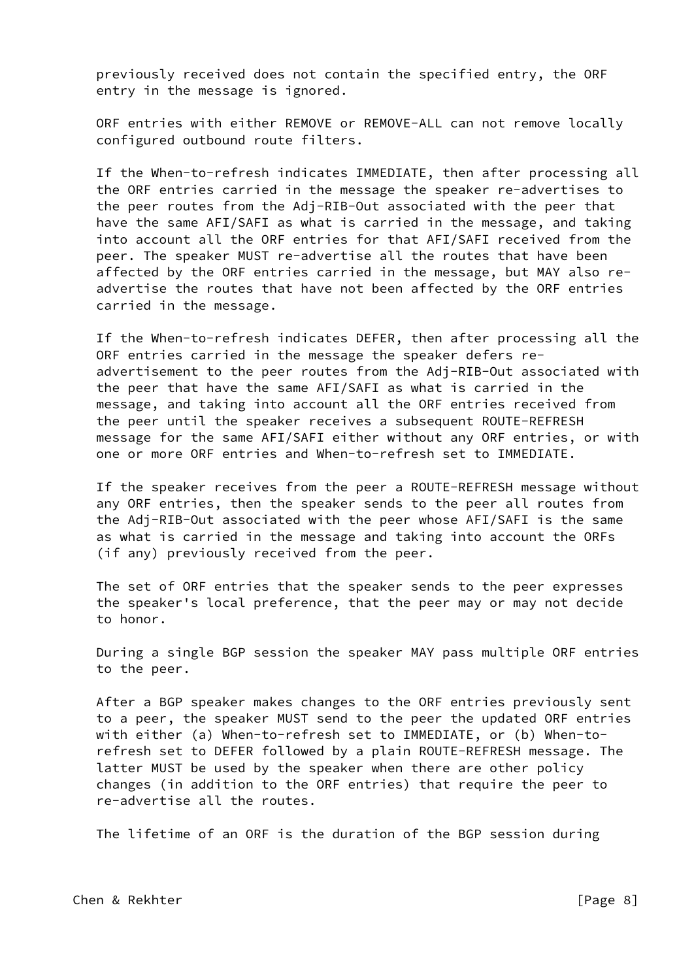previously received does not contain the specified entry, the ORF entry in the message is ignored.

 ORF entries with either REMOVE or REMOVE-ALL can not remove locally configured outbound route filters.

 If the When-to-refresh indicates IMMEDIATE, then after processing all the ORF entries carried in the message the speaker re-advertises to the peer routes from the Adj-RIB-Out associated with the peer that have the same AFI/SAFI as what is carried in the message, and taking into account all the ORF entries for that AFI/SAFI received from the peer. The speaker MUST re-advertise all the routes that have been affected by the ORF entries carried in the message, but MAY also re advertise the routes that have not been affected by the ORF entries carried in the message.

 If the When-to-refresh indicates DEFER, then after processing all the ORF entries carried in the message the speaker defers re advertisement to the peer routes from the Adj-RIB-Out associated with the peer that have the same AFI/SAFI as what is carried in the message, and taking into account all the ORF entries received from the peer until the speaker receives a subsequent ROUTE-REFRESH message for the same AFI/SAFI either without any ORF entries, or with one or more ORF entries and When-to-refresh set to IMMEDIATE.

 If the speaker receives from the peer a ROUTE-REFRESH message without any ORF entries, then the speaker sends to the peer all routes from the Adj-RIB-Out associated with the peer whose AFI/SAFI is the same as what is carried in the message and taking into account the ORFs (if any) previously received from the peer.

 The set of ORF entries that the speaker sends to the peer expresses the speaker's local preference, that the peer may or may not decide to honor.

 During a single BGP session the speaker MAY pass multiple ORF entries to the peer.

 After a BGP speaker makes changes to the ORF entries previously sent to a peer, the speaker MUST send to the peer the updated ORF entries with either (a) When-to-refresh set to IMMEDIATE, or (b) When-to refresh set to DEFER followed by a plain ROUTE-REFRESH message. The latter MUST be used by the speaker when there are other policy changes (in addition to the ORF entries) that require the peer to re-advertise all the routes.

The lifetime of an ORF is the duration of the BGP session during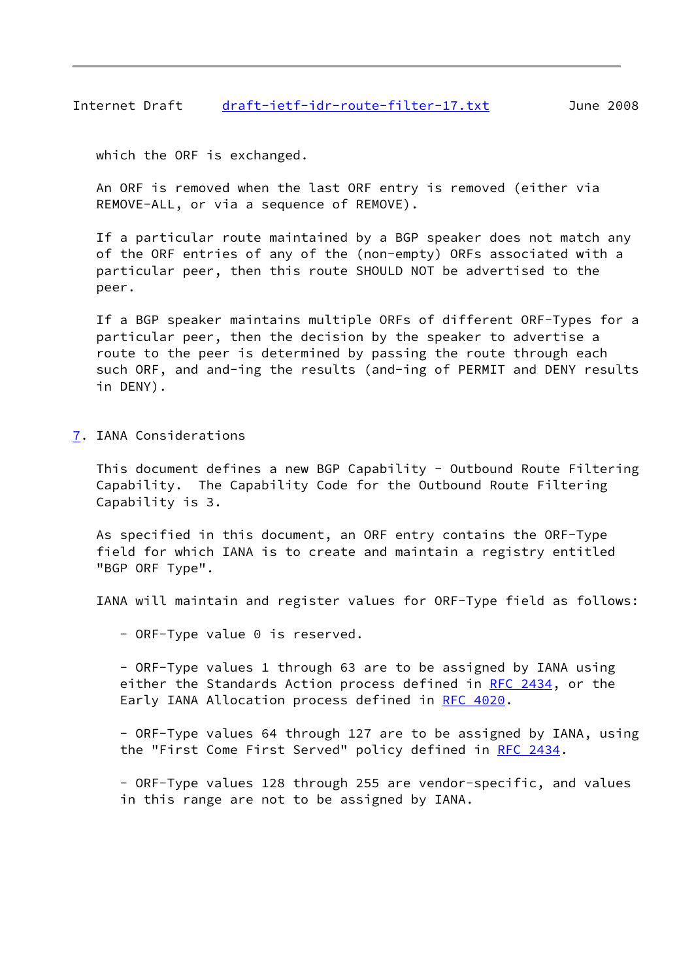Internet Draft [draft-ietf-idr-route-filter-17.txt](https://datatracker.ietf.org/doc/pdf/draft-ietf-idr-route-filter-17.txt) June 2008

which the ORF is exchanged.

 An ORF is removed when the last ORF entry is removed (either via REMOVE-ALL, or via a sequence of REMOVE).

 If a particular route maintained by a BGP speaker does not match any of the ORF entries of any of the (non-empty) ORFs associated with a particular peer, then this route SHOULD NOT be advertised to the peer.

 If a BGP speaker maintains multiple ORFs of different ORF-Types for a particular peer, then the decision by the speaker to advertise a route to the peer is determined by passing the route through each such ORF, and and-ing the results (and-ing of PERMIT and DENY results in DENY).

<span id="page-9-0"></span>[7](#page-9-0). IANA Considerations

 This document defines a new BGP Capability - Outbound Route Filtering Capability. The Capability Code for the Outbound Route Filtering Capability is 3.

 As specified in this document, an ORF entry contains the ORF-Type field for which IANA is to create and maintain a registry entitled "BGP ORF Type".

IANA will maintain and register values for ORF-Type field as follows:

- ORF-Type value 0 is reserved.

 - ORF-Type values 1 through 63 are to be assigned by IANA using either the Standards Action process defined in [RFC 2434](https://datatracker.ietf.org/doc/pdf/rfc2434), or the Early IANA Allocation process defined in [RFC 4020.](https://datatracker.ietf.org/doc/pdf/rfc4020)

 - ORF-Type values 64 through 127 are to be assigned by IANA, using the "First Come First Served" policy defined in [RFC 2434.](https://datatracker.ietf.org/doc/pdf/rfc2434)

 - ORF-Type values 128 through 255 are vendor-specific, and values in this range are not to be assigned by IANA.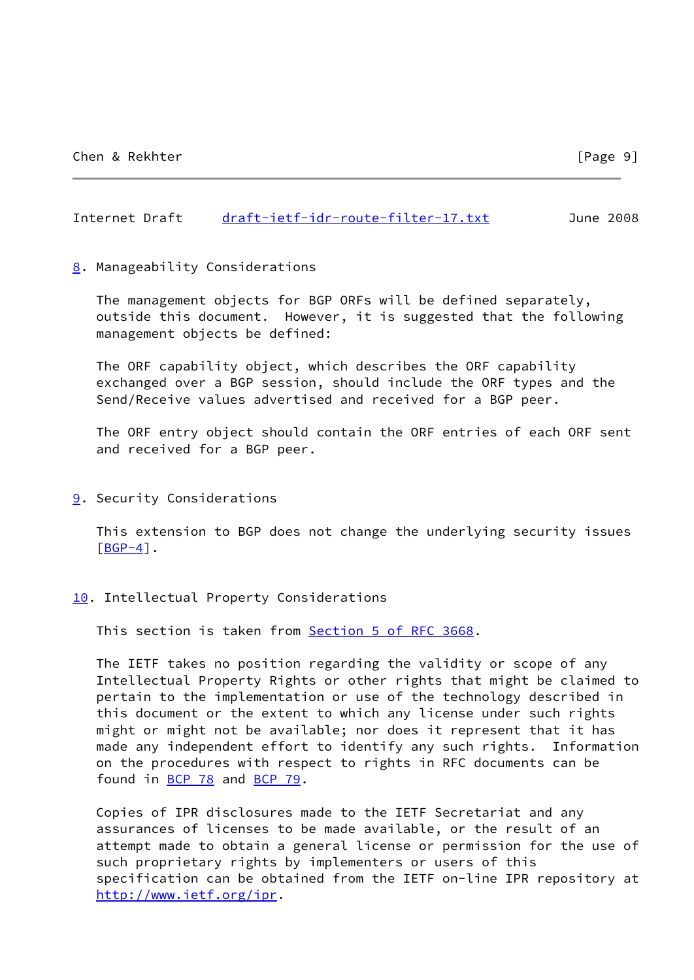### Internet Draft [draft-ietf-idr-route-filter-17.txt](https://datatracker.ietf.org/doc/pdf/draft-ietf-idr-route-filter-17.txt) June 2008

#### <span id="page-10-0"></span>[8](#page-10-0). Manageability Considerations

 The management objects for BGP ORFs will be defined separately, outside this document. However, it is suggested that the following management objects be defined:

 The ORF capability object, which describes the ORF capability exchanged over a BGP session, should include the ORF types and the Send/Receive values advertised and received for a BGP peer.

 The ORF entry object should contain the ORF entries of each ORF sent and received for a BGP peer.

<span id="page-10-1"></span>[9](#page-10-1). Security Considerations

 This extension to BGP does not change the underlying security issues  $[**BGP-4**]$ .

<span id="page-10-2"></span>[10.](#page-10-2) Intellectual Property Considerations

This section is taken from **Section 5 of RFC 3668**.

 The IETF takes no position regarding the validity or scope of any Intellectual Property Rights or other rights that might be claimed to pertain to the implementation or use of the technology described in this document or the extent to which any license under such rights might or might not be available; nor does it represent that it has made any independent effort to identify any such rights. Information on the procedures with respect to rights in RFC documents can be found in [BCP 78](https://datatracker.ietf.org/doc/pdf/bcp78) and [BCP 79](https://datatracker.ietf.org/doc/pdf/bcp79).

 Copies of IPR disclosures made to the IETF Secretariat and any assurances of licenses to be made available, or the result of an attempt made to obtain a general license or permission for the use of such proprietary rights by implementers or users of this specification can be obtained from the IETF on-line IPR repository at <http://www.ietf.org/ipr>.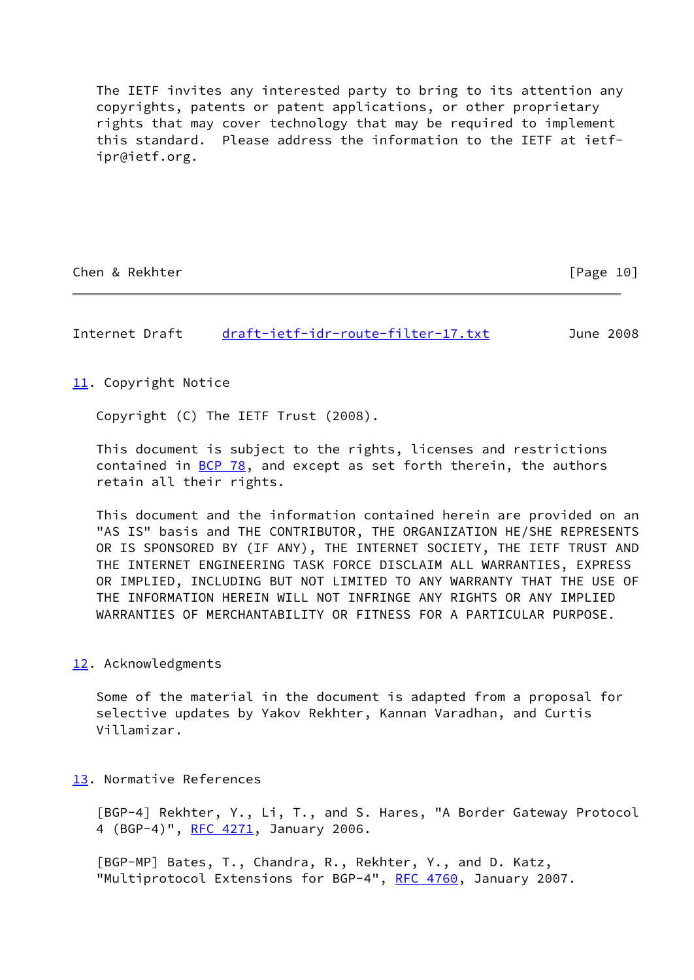The IETF invites any interested party to bring to its attention any copyrights, patents or patent applications, or other proprietary rights that may cover technology that may be required to implement this standard. Please address the information to the IETF at ietf ipr@ietf.org.

Chen & Rekhter [Page 10]

Internet Draft [draft-ietf-idr-route-filter-17.txt](https://datatracker.ietf.org/doc/pdf/draft-ietf-idr-route-filter-17.txt) June 2008

<span id="page-11-2"></span>[11.](#page-11-2) Copyright Notice

Copyright (C) The IETF Trust (2008).

 This document is subject to the rights, licenses and restrictions contained in  $BCP$  78, and except as set forth therein, the authors retain all their rights.

 This document and the information contained herein are provided on an "AS IS" basis and THE CONTRIBUTOR, THE ORGANIZATION HE/SHE REPRESENTS OR IS SPONSORED BY (IF ANY), THE INTERNET SOCIETY, THE IETF TRUST AND THE INTERNET ENGINEERING TASK FORCE DISCLAIM ALL WARRANTIES, EXPRESS OR IMPLIED, INCLUDING BUT NOT LIMITED TO ANY WARRANTY THAT THE USE OF THE INFORMATION HEREIN WILL NOT INFRINGE ANY RIGHTS OR ANY IMPLIED WARRANTIES OF MERCHANTABILITY OR FITNESS FOR A PARTICULAR PURPOSE.

<span id="page-11-3"></span>[12.](#page-11-3) Acknowledgments

 Some of the material in the document is adapted from a proposal for selective updates by Yakov Rekhter, Kannan Varadhan, and Curtis Villamizar.

<span id="page-11-4"></span>[13.](#page-11-4) Normative References

<span id="page-11-0"></span> [BGP-4] Rekhter, Y., Li, T., and S. Hares, "A Border Gateway Protocol 4 (BGP-4)", [RFC 4271,](https://datatracker.ietf.org/doc/pdf/rfc4271) January 2006.

<span id="page-11-1"></span> [BGP-MP] Bates, T., Chandra, R., Rekhter, Y., and D. Katz, "Multiprotocol Extensions for BGP-4", [RFC 4760](https://datatracker.ietf.org/doc/pdf/rfc4760), January 2007.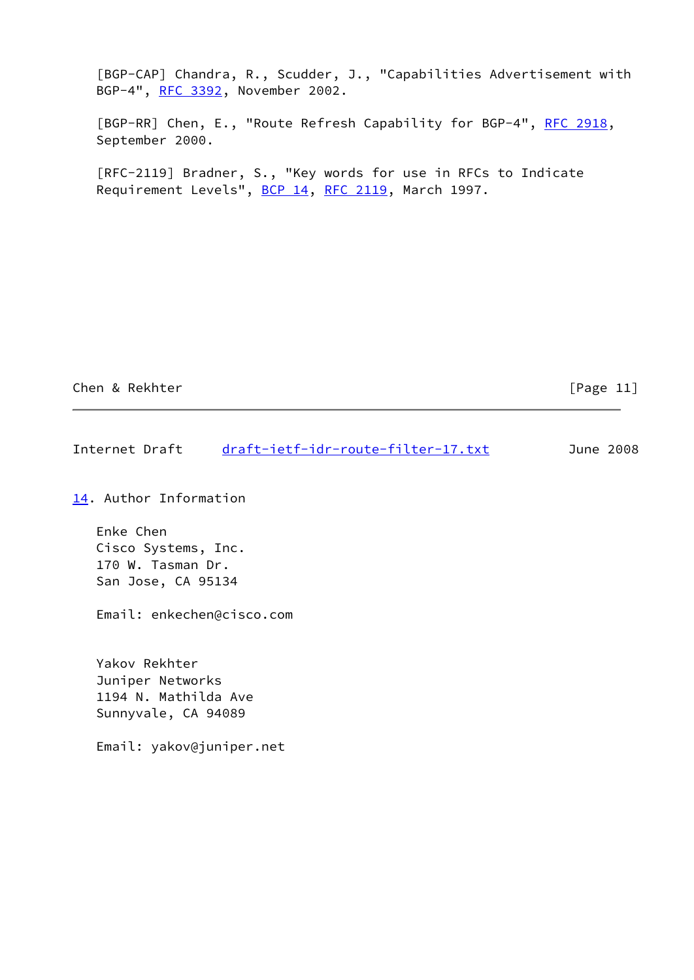<span id="page-12-1"></span> [BGP-CAP] Chandra, R., Scudder, J., "Capabilities Advertisement with BGP-4", [RFC 3392](https://datatracker.ietf.org/doc/pdf/rfc3392), November 2002.

<span id="page-12-0"></span>[BGP-RR] Chen, E., "Route Refresh Capability for BGP-4", [RFC 2918](https://datatracker.ietf.org/doc/pdf/rfc2918), September 2000.

 [RFC-2119] Bradner, S., "Key words for use in RFCs to Indicate Requirement Levels", [BCP 14](https://datatracker.ietf.org/doc/pdf/bcp14), [RFC 2119](https://datatracker.ietf.org/doc/pdf/rfc2119), March 1997.

Chen & Rekhter [Page 11]

Internet Draft [draft-ietf-idr-route-filter-17.txt](https://datatracker.ietf.org/doc/pdf/draft-ietf-idr-route-filter-17.txt) June 2008

<span id="page-12-2"></span>[14.](#page-12-2) Author Information

 Enke Chen Cisco Systems, Inc. 170 W. Tasman Dr. San Jose, CA 95134

Email: enkechen@cisco.com

 Yakov Rekhter Juniper Networks 1194 N. Mathilda Ave Sunnyvale, CA 94089

Email: yakov@juniper.net